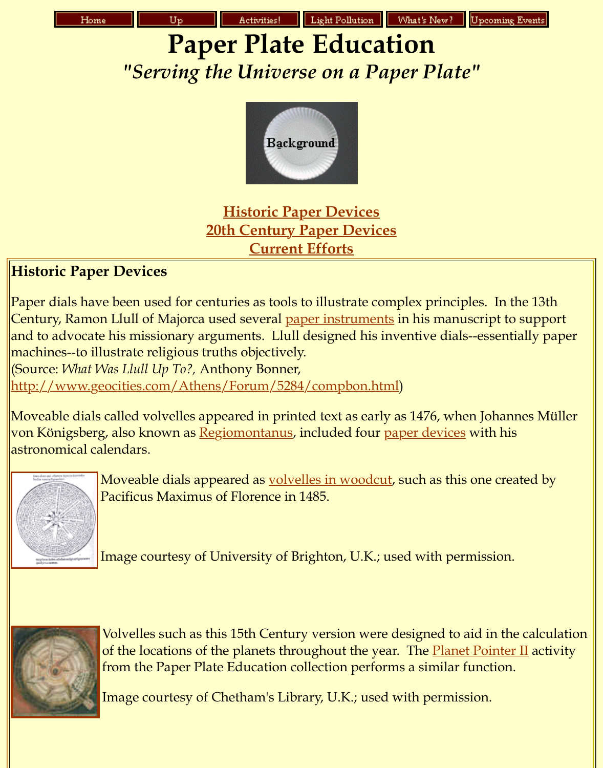

**Historic Paper Devices 20th Century Paper Devices Current Efforts**

# **Historic Paper Devices**

Paper dials have been used for centuries as tools to illustrate complex principles. In the 13th Century, Ramon Llull of Majorca us[ed several paper instrumen](http://analyzer.depaul.edu/paperplate/Background.htm#Historic%20Paper%20Devices)ts in his manuscript to and to advocate his missionary a[rguments. Llull designed his inv](http://analyzer.depaul.edu/paperplate/Background.htm#20th%20Century%20Paper%20Devices)entive dials--essent machines--to illustrate religious truths objectively. (Source: *What Was Llull Up To?,* Anthony Bonner, http://www.geocities.com/Athens/Forum/5284/compbon.html)

Moveable dials called volvelles appeared in p[rinted text as early a](http://www.geocities.com/Athens/Forum/5284/compbon.html)s 1476, when Johan von Königsberg, also known as <u>Regiomontanus</u>, included four <u>paper devices</u> with hi astronomical calendars.



Moveable dials appeared as volvelles in woodcut, such as this one cre [Pacificus Maximus of Florence in 1485.](http://www.geocities.com/Athens/Forum/5284/compbon.html)

Image courtesy of University of Brighton, U.K.; used with permission.



Volvelles such as this 15th Century version were designed to aid in the of the locations of the planets throughout the year. The **Planet Pointe** from the Paper Plate Education collection performs a similar function.

Image courtesy of Chetham's Library, U.K.; used with permission.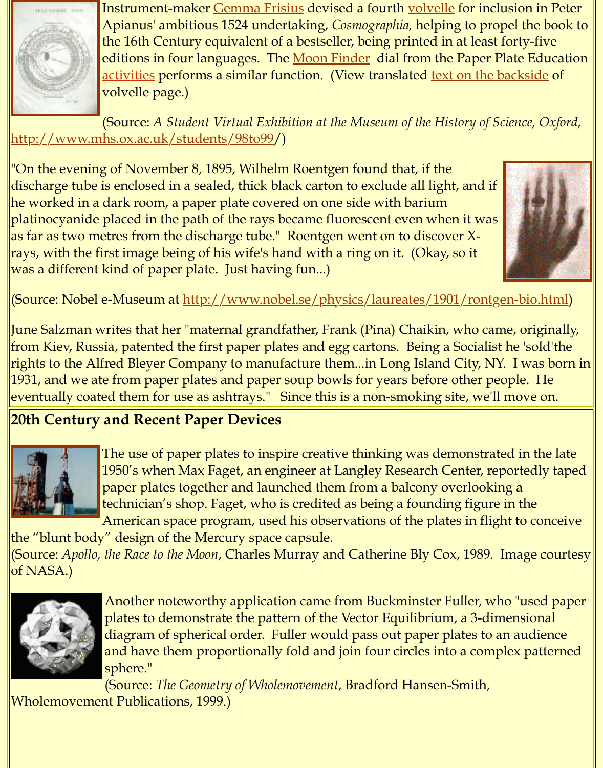

"On the evening of November 8, 1895, Wilhelm [Roentgen fou](http://analyzer.depaul.edu/paperplate/Moon%20Finder.htm)nd that, if the discharge tube [is enclose](http://analyzer.depaul.edu/paperplate/activities.htm)d in a sealed, thick black carton to exclude all [light, and if](http://analyzer.depaul.edu/paperplate/PlateWise.htm) he worked in a dark room, a paper plate covered on one side with barium platinocyanide placed in the path of the rays became fluorescent even when it was [as far as two metres from the discharge tube.](http://www.mhs.ox.ac.uk/students/98to99)" Roentgen went on to discover Xrays, with the first image being of his wife's hand with a ring on it. (Okay, so it was a different kind of paper plate. Just having fun...)

### (Source: Nobel e-Museum at http://www.nobel.se/physics/laureates/1901/rontgen-

June Salzman writes that her "maternal grandfather, Frank (Pina) Chaikin, who came from Kiev, Russia, patented the first paper plates and egg cartons. Being a Socialist h rights to the Alfred Bleyer Company to manufacture them...in Long Island City, NY. 1931, and we ate from paper plates and paper soup bowls for years before other peop eventually coated them for u[se as ashtrays." Since this is a non-smoking site, we](http://www.nobel.se/physics/laureates/1901/rontgen-bio.html)'ll m

### **20th Century and Recent Paper Devices**



The use of paper plates to inspire creative thinking was demonstrated 1950's when Max Faget, an engineer at Langley Research Center, report paper plates together and launched them from a balcony overlooking technician's shop. Faget, who is credited as being a founding figure in American space program, used his observations of the plates in flight

the "blunt body" design of the Mercury space capsule. (Source: *Apollo, the Race to the Moon,* Charles Murray and Catherine Bly Cox, 1989. In of NASA.)



Another noteworthy application came from Buckminster Fuller, who plates to demonstrate the pattern of the Vector Equilibrium, a 3-dime diagram of spherical order. Fuller would pass out paper plates to an and have them proportionally fold and join four circles into a comple sphere."

(Source: *The Geometry of Wholemovement*, Bradford Hansen-Smith, Wholemovement Publications, 1999.)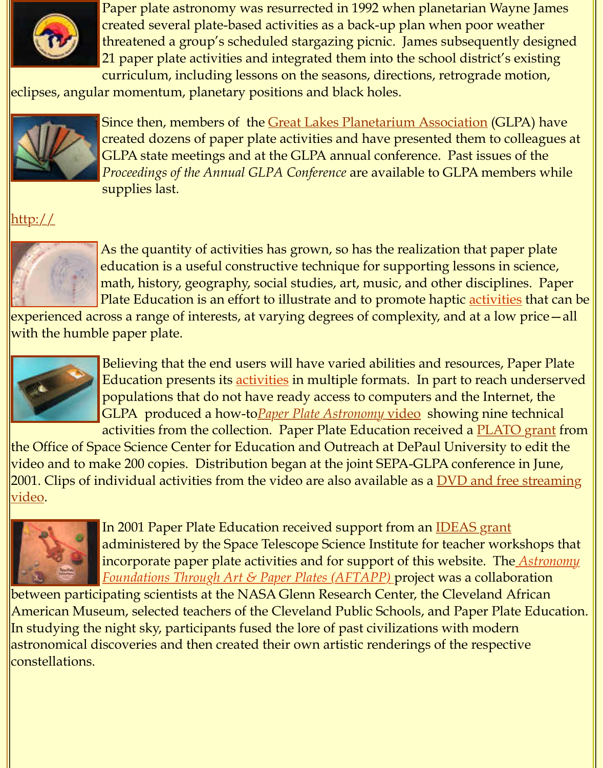

Since then, members of the Great Lakes Planetarium Association (GL created dozens of paper plate activities and have presented them to co GLPA state meetings and at the GLPA annual conference. Past issues *Proceedings of the Annual GLPA Conference* are available to GLPA mem supplies last.

http://



As the quantity of activities has grown, so has the realization that pap education is a useful constructive technique for supporting lessons in math, history, geography, social studies, art, music, and other disciplines. Plate Education is an effort to illustrate and to promote haptic activities

[experien](http:/)ced across a range of interests, at varying degrees of complexity, and at a low with the humble paper plate.



Believing that the end users will have varied abilities and resources, I Education presents its activities in multiple formats. In part to reach populations that do not have ready access to computers and the Inter GLPA produced a how-to*Paper Plate Astronomy* video showing nine activities from the collection. Paper Plate Education received a PLAT

the Office of Space Science Center for Education and Outreach at DePaul University to video and to make 200 copies. Distribution began at the joint SEPA-GLPA conference 2001. Clips of individual activities fro[m the vid](http://analyzer.depaul.edu/paperplate/activities.htm)eo are also available as a DVD and fre video.



In 2001 Paper Plate Educa[tion received support from a](http://analyzer.depaul.edu/paperplate/Video.htm)n IDEAS grant administered by the Space Telescope Science Institute for teacher wor incorporate paper plate activities and for support of this website. The **Foundations Through Art & Paper Plates (AFTAPP) project was a collaborations** 

between participating scientists at the NASA Glenn Research Center, the Cleveland A American Museum, selected teachers of the Cleveland Public Schools, and Paper Plat In studying the night sky, participants fused the lore of past civilizations with moder astronomical discoveries and then created their own artistic renderings of the respect constellations.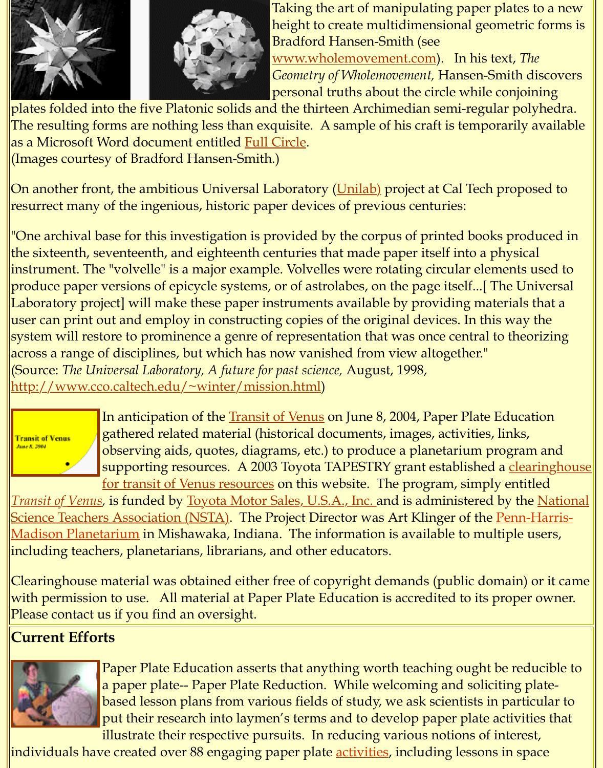plates folded into the five Platonic solids and the thirteen Archimedian semi-regular The resulting forms are nothing less than exquisite. A sample of his craft is temporar as a Microsoft Word document entitled Full Circle. (Images courtesy of Bradford Hansen-Smith[.\)](http://www.wholemovement.com/)

On another front, the ambitious Universal Laboratory (Unilab) project at Cal Tech pro resurrect many of the ingenious, historic paper devices of previous centuries:

"One archival base for this investigation is provided by the corpus of printed books  $\bm{{\mathsf{p}}}$ the sixteenth, seventeenth, and eightee[nth centurie](http://analyzer.depaul.edu/paperplate/full%20circle.doc)s that made paper itself into a phy instrument. The "volvelle" is a major example. Volvelles were rotating circular element produce paper versions of epicycle systems, or of astro[labes, on](http://www.cco.caltech.edu/~winter/mission.html) the page itself...[ The Laboratory project] will make these paper instruments available by providing materi user can print out and employ in constructing copies of the original devices. In this w system will restore to prominence a genre of representation that was once central to t across a range of disciplines, but which has now vanished from view altogether." (Source: *The Universal Laboratory, A future for past science,* August, 1998, http://www.cco.caltech.edu/~winter/mission.html)



In anticipation of the **Transit of Venus** on June 8, 2004, Paper Plate Education gathered related material (historical documents, images, activities, lin observing aids, quotes, diagrams, etc.) to produce a planetarium prog supporting resources. A 2003 Toyota TAPESTRY grant established a q [for transit of Venus resources on this w](http://www.cco.caltech.edu/~winter/mission.html)ebsite. The program, simply entitled

*Transit of Venus*, is funded by <u>Toyota Motor Sales, U.S.A., Inc.</u> and is administered by <u>Science Teachers Association (NSTA)</u>. The Project Director was Art Klinger of the <u>Pe</u> <u>Madison Planetarium</u> in Mishawaka, Indiana. The information is available to multip including teachers, planetarians, librarians, and other educators.

Clearinghouse material was obtained either free of copyright demands (public doma [with permissio](http://analyzer.depaul.edu/paperplate/transit.htm)[n to use. All m](http://www.nsta.org/)[aterial at Paper Plate Educatio](http://www.toyota.com/)n is accredited to its pro [Please contact us if you find an oversight.](http://www.phm.k12.in.us/) 

#### **Current Efforts**



Paper Plate Education asserts that anything worth teaching ought be a paper plate-- Paper Plate Reduction. While welcoming and solicitin based lesson plans from various fields of study, we ask scientists in particular to put their research into laymen's terms and to develop paper plate activities illustrate their respective pursuits. In reducing various notions of inter-

 $\vert$ individuals have created over 88 engaging paper plate <u>activities</u>, including lessons in